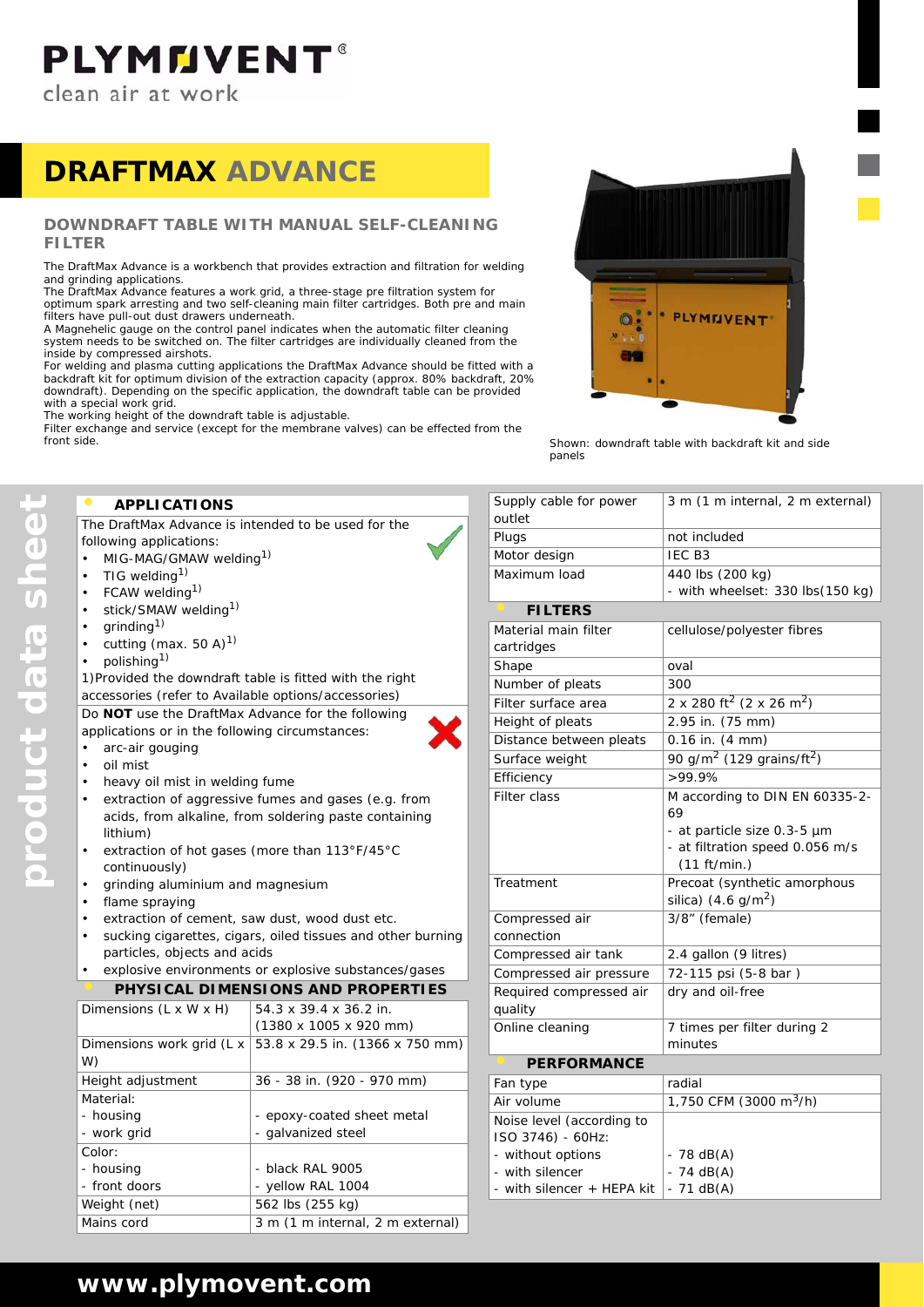# **PLYMMVENT®**

clean air at work

## **DRAFTMAX ADVANCE**

#### **DOWNDRAFT TABLE WITH MANUAL SELF-CLEANING FILTER**

The DraftMax Advance is a workbench that provides extraction and filtration for welding and grinding applications.

The DraftMax Advance features a work grid, a three-stage pre filtration system for optimum spark arresting and two self-cleaning main filter cartridges. Both pre and main filters have pull-out dust drawers underneath.

A Magnehelic gauge on the control panel indicates when the automatic filter cleaning system needs to be switched on. The filter cartridges are individually cleaned from the inside by compressed airshots.

For welding and plasma cutting applications the DraftMax Advance should be fitted with a backdraft kit for optimum division of the extraction capacity (approx. 80% backdraft, 20% downdraft). Depending on the specific application, the downdraft table can be provided with a special work grid.

The working height of the downdraft table is adjustable.

Filter exchange and service (except for the membrane valves) can be effected from the front side.



*Shown: downdraft table with backdraft kit and side panels*

#### **• APPLICATIONS**

The DraftMax Advance is intended to be used for the following applications:

- MIG-MAG/GMAW welding<sup>1)</sup>
- TIG welding $1$ )
- FCAW welding<sup>1)</sup>
- stick/SMAW welding<sup>1)</sup>
- $grinding<sup>1</sup>$
- cutting (max. 50 A) $^{1)}$
- polishing<sup>1)</sup>

1)Provided the downdraft table is fitted with the right accessories (refer to Available options/accessories)

Do **NOT** use the DraftMax Advance for the following applications or in the following circumstances:

- arc-air gouging
- oil mist

**product data sheet**

product data sheet

- heavy oil mist in welding fume
- extraction of aggressive fumes and gases (e.g. from acids, from alkaline, from soldering paste containing lithium)
- extraction of hot gases (more than 113°F/45°C continuously)
- grinding aluminium and magnesium
- flame spraying
- extraction of cement, saw dust, wood dust etc.
- sucking cigarettes, cigars, oiled tissues and other burning particles, objects and acids
- explosive environments or explosive substances/gases

|  | PHYSICAL DIMENSIONS AND PROPERTIES |  |
|--|------------------------------------|--|

| Dimensions (L x W x H)    | 54.3 x 39.4 x 36.2 in.                     |
|---------------------------|--------------------------------------------|
|                           | $(1380 \times 1005 \times 920 \text{ mm})$ |
| Dimensions work grid (L x | 53.8 x 29.5 in. (1366 x 750 mm)            |
| W)                        |                                            |
| Height adjustment         | 36 - 38 in. (920 - 970 mm)                 |
| Material:                 |                                            |
| - housing                 | - epoxy-coated sheet metal                 |
| - work grid               | - galvanized steel                         |
| Color:                    |                                            |
| - housing                 | - black RAL 9005                           |
| - front doors             | - yellow RAL 1004                          |
| Weight (net)              | 562 lbs (255 kg)                           |
| Mains cord                | 3 m (1 m internal, 2 m external)           |

| Supply cable for power<br>outlet   | 3 m (1 m internal, 2 m external)                  |
|------------------------------------|---------------------------------------------------|
| Plugs                              | not included                                      |
| Motor design                       | IEC <sub>B3</sub>                                 |
| Maximum load                       | 440 lbs (200 kg)                                  |
|                                    | - with wheelset: 330 lbs(150 kg)                  |
| <b>FILTERS</b>                     |                                                   |
| Material main filter               | cellulose/polyester fibres                        |
| cartridges                         |                                                   |
| Shape                              | oval                                              |
| Number of pleats                   | 300                                               |
| Filter surface area                | 2 x 280 ft <sup>2</sup> (2 x 26 m <sup>2</sup> )  |
| Height of pleats                   | 2.95 in. (75 mm)                                  |
| Distance between pleats            | 0.16 in. (4 mm)                                   |
| Surface weight                     | 90 g/m <sup>2</sup> (129 grains/ft <sup>2</sup> ) |
| Efficiency                         | >99.9%                                            |
| <b>Filter class</b>                | M according to DIN EN 60335-2-<br>69              |
|                                    | - at particle size 0.3-5 µm                       |
|                                    | - at filtration speed 0.056 m/s<br>(11 ft/min.)   |
| Treatment                          | Precoat (synthetic amorphous                      |
|                                    | silica) $(4.6 \text{ g/m}^2)$                     |
| Compressed air                     | $3/8$ " (female)                                  |
| connection                         |                                                   |
| Compressed air tank                | 2.4 gallon (9 litres)                             |
| Compressed air pressure            | 72-115 psi (5-8 bar)                              |
| Required compressed air<br>quality | dry and oil-free                                  |
| Online cleaning                    | 7 times per filter during 2                       |
|                                    | minutes                                           |
| <b>PERFORMANCE</b>                 |                                                   |
| Fan type                           | radial                                            |
| Air volume                         | 1,750 CFM (3000 m <sup>3</sup> /h)                |
| Noise level (according to          |                                                   |
| ISO 3746) - 60Hz:                  |                                                   |
| - without options                  | $-78$ dB(A)                                       |
| - with silencer                    | $-74$ dB(A)                                       |
| - with silencer + HEPA kit         | $-71$ dB(A)                                       |

### **www.plymovent.com**